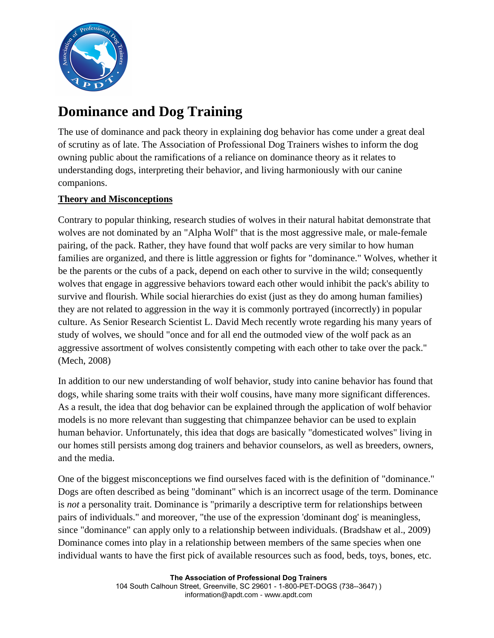

# **Dominance and Dog Training**

The use of dominance and pack theory in explaining dog behavior has come under a great deal of scrutiny as of late. The Association of Professional Dog Trainers wishes to inform the dog owning public about the ramifications of a reliance on dominance theory as it relates to understanding dogs, interpreting their behavior, and living harmoniously with our canine companions.

# **Theory and Misconceptions**

Contrary to popular thinking, research studies of wolves in their natural habitat demonstrate that wolves are not dominated by an "Alpha Wolf" that is the most aggressive male, or male-female pairing, of the pack. Rather, they have found that wolf packs are very similar to how human families are organized, and there is little aggression or fights for "dominance." Wolves, whether it be the parents or the cubs of a pack, depend on each other to survive in the wild; consequently wolves that engage in aggressive behaviors toward each other would inhibit the pack's ability to survive and flourish. While social hierarchies do exist (just as they do among human families) they are not related to aggression in the way it is commonly portrayed (incorrectly) in popular culture. As Senior Research Scientist L. David Mech recently wrote regarding his many years of study of wolves, we should "once and for all end the outmoded view of the wolf pack as an aggressive assortment of wolves consistently competing with each other to take over the pack." (Mech, 2008)

In addition to our new understanding of wolf behavior, study into canine behavior has found that dogs, while sharing some traits with their wolf cousins, have many more significant differences. As a result, the idea that dog behavior can be explained through the application of wolf behavior models is no more relevant than suggesting that chimpanzee behavior can be used to explain human behavior. Unfortunately, this idea that dogs are basically "domesticated wolves" living in our homes still persists among dog trainers and behavior counselors, as well as breeders, owners, and the media.

One of the biggest misconceptions we find ourselves faced with is the definition of "dominance." Dogs are often described as being "dominant" which is an incorrect usage of the term. Dominance is *not* a personality trait. Dominance is "primarily a descriptive term for relationships between pairs of individuals." and moreover, "the use of the expression 'dominant dog' is meaningless, since "dominance" can apply only to a relationship between individuals. (Bradshaw et al., 2009) Dominance comes into play in a relationship between members of the same species when one individual wants to have the first pick of available resources such as food, beds, toys, bones, etc.

> **The Association of Professional Dog Trainers**  104 South Calhoun Street, Greenville, SC 29601 - 1-800-PET-DOGS (738--3647) ) information@apdt.com - www.apdt.com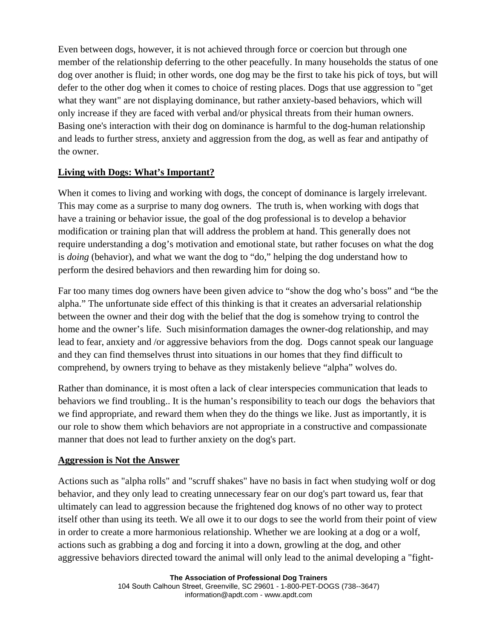Even between dogs, however, it is not achieved through force or coercion but through one member of the relationship deferring to the other peacefully. In many households the status of one dog over another is fluid; in other words, one dog may be the first to take his pick of toys, but will defer to the other dog when it comes to choice of resting places. Dogs that use aggression to "get what they want" are not displaying dominance, but rather anxiety-based behaviors, which will only increase if they are faced with verbal and/or physical threats from their human owners. Basing one's interaction with their dog on dominance is harmful to the dog-human relationship and leads to further stress, anxiety and aggression from the dog, as well as fear and antipathy of the owner.

# **Living with Dogs: What's Important?**

When it comes to living and working with dogs, the concept of dominance is largely irrelevant. This may come as a surprise to many dog owners. The truth is, when working with dogs that have a training or behavior issue, the goal of the dog professional is to develop a behavior modification or training plan that will address the problem at hand. This generally does not require understanding a dog's motivation and emotional state, but rather focuses on what the dog is *doing* (behavior), and what we want the dog to "do," helping the dog understand how to perform the desired behaviors and then rewarding him for doing so.

Far too many times dog owners have been given advice to "show the dog who's boss" and "be the alpha." The unfortunate side effect of this thinking is that it creates an adversarial relationship between the owner and their dog with the belief that the dog is somehow trying to control the home and the owner's life. Such misinformation damages the owner-dog relationship, and may lead to fear, anxiety and /or aggressive behaviors from the dog. Dogs cannot speak our language and they can find themselves thrust into situations in our homes that they find difficult to comprehend, by owners trying to behave as they mistakenly believe "alpha" wolves do.

Rather than dominance, it is most often a lack of clear interspecies communication that leads to behaviors we find troubling.. It is the human's responsibility to teach our dogs the behaviors that we find appropriate, and reward them when they do the things we like. Just as importantly, it is our role to show them which behaviors are not appropriate in a constructive and compassionate manner that does not lead to further anxiety on the dog's part.

#### **Aggression is Not the Answer**

Actions such as "alpha rolls" and "scruff shakes" have no basis in fact when studying wolf or dog behavior, and they only lead to creating unnecessary fear on our dog's part toward us, fear that ultimately can lead to aggression because the frightened dog knows of no other way to protect itself other than using its teeth. We all owe it to our dogs to see the world from their point of view in order to create a more harmonious relationship. Whether we are looking at a dog or a wolf, actions such as grabbing a dog and forcing it into a down, growling at the dog, and other aggressive behaviors directed toward the animal will only lead to the animal developing a "fight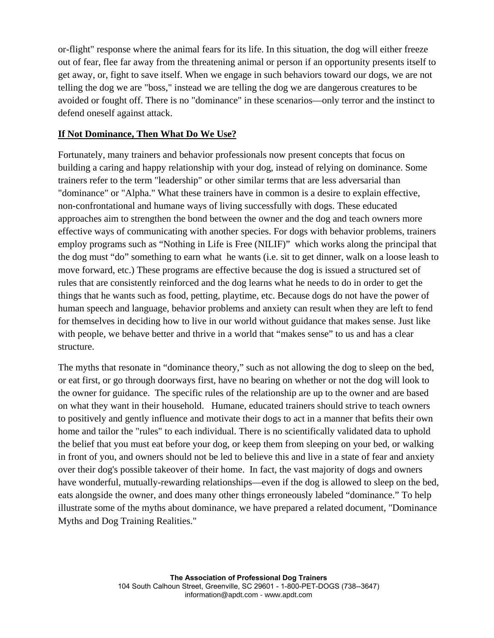or-flight" response where the animal fears for its life. In this situation, the dog will either freeze out of fear, flee far away from the threatening animal or person if an opportunity presents itself to get away, or, fight to save itself. When we engage in such behaviors toward our dogs, we are not telling the dog we are "boss," instead we are telling the dog we are dangerous creatures to be avoided or fought off. There is no "dominance" in these scenarios—only terror and the instinct to defend oneself against attack.

### **If Not Dominance, Then What Do We Use?**

Fortunately, many trainers and behavior professionals now present concepts that focus on building a caring and happy relationship with your dog, instead of relying on dominance. Some trainers refer to the term "leadership" or other similar terms that are less adversarial than "dominance" or "Alpha." What these trainers have in common is a desire to explain effective, non-confrontational and humane ways of living successfully with dogs. These educated approaches aim to strengthen the bond between the owner and the dog and teach owners more effective ways of communicating with another species. For dogs with behavior problems, trainers employ programs such as "Nothing in Life is Free (NILIF)" which works along the principal that the dog must "do" something to earn what he wants (i.e. sit to get dinner, walk on a loose leash to move forward, etc.) These programs are effective because the dog is issued a structured set of rules that are consistently reinforced and the dog learns what he needs to do in order to get the things that he wants such as food, petting, playtime, etc. Because dogs do not have the power of human speech and language, behavior problems and anxiety can result when they are left to fend for themselves in deciding how to live in our world without guidance that makes sense. Just like with people, we behave better and thrive in a world that "makes sense" to us and has a clear structure.

The myths that resonate in "dominance theory," such as not allowing the dog to sleep on the bed, or eat first, or go through doorways first, have no bearing on whether or not the dog will look to the owner for guidance. The specific rules of the relationship are up to the owner and are based on what they want in their household. Humane, educated trainers should strive to teach owners to positively and gently influence and motivate their dogs to act in a manner that befits their own home and tailor the "rules" to each individual. There is no scientifically validated data to uphold the belief that you must eat before your dog, or keep them from sleeping on your bed, or walking in front of you, and owners should not be led to believe this and live in a state of fear and anxiety over their dog's possible takeover of their home. In fact, the vast majority of dogs and owners have wonderful, mutually-rewarding relationships—even if the dog is allowed to sleep on the bed, eats alongside the owner, and does many other things erroneously labeled "dominance." To help illustrate some of the myths about dominance, we have prepared a related document, "Dominance Myths and Dog Training Realities."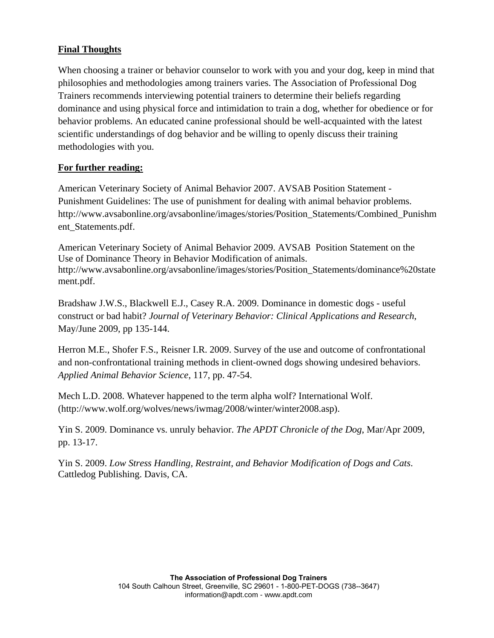# **Final Thoughts**

When choosing a trainer or behavior counselor to work with you and your dog, keep in mind that philosophies and methodologies among trainers varies. The Association of Professional Dog Trainers recommends interviewing potential trainers to determine their beliefs regarding dominance and using physical force and intimidation to train a dog, whether for obedience or for behavior problems. An educated canine professional should be well-acquainted with the latest scientific understandings of dog behavior and be willing to openly discuss their training methodologies with you.

# **For further reading:**

American Veterinary Society of Animal Behavior 2007. AVSAB Position Statement - Punishment Guidelines: The use of punishment for dealing with animal behavior problems. http://www.avsabonline.org/avsabonline/images/stories/Position\_Statements/Combined\_Punishm ent\_Statements.pdf.

American Veterinary Society of Animal Behavior 2009. AVSAB Position Statement on the Use of Dominance Theory in Behavior Modification of animals. http://www.avsabonline.org/avsabonline/images/stories/Position\_Statements/dominance%20state ment.pdf.

Bradshaw J.W.S., Blackwell E.J., Casey R.A. 2009. Dominance in domestic dogs - useful construct or bad habit? *Journal of Veterinary Behavior: Clinical Applications and Research*, May/June 2009, pp 135-144.

Herron M.E., Shofer F.S., Reisner I.R. 2009. Survey of the use and outcome of confrontational and non-confrontational training methods in client-owned dogs showing undesired behaviors. *Applied Animal Behavior Science*, 117, pp. 47-54.

Mech L.D. 2008. Whatever happened to the term alpha wolf? International Wolf. (http://www.wolf.org/wolves/news/iwmag/2008/winter/winter2008.asp).

Yin S. 2009. Dominance vs. unruly behavior. *The APDT Chronicle of the Dog*, Mar/Apr 2009, pp. 13-17.

Yin S. 2009. *Low Stress Handling, Restraint, and Behavior Modification of Dogs and Cats*. Cattledog Publishing. Davis, CA.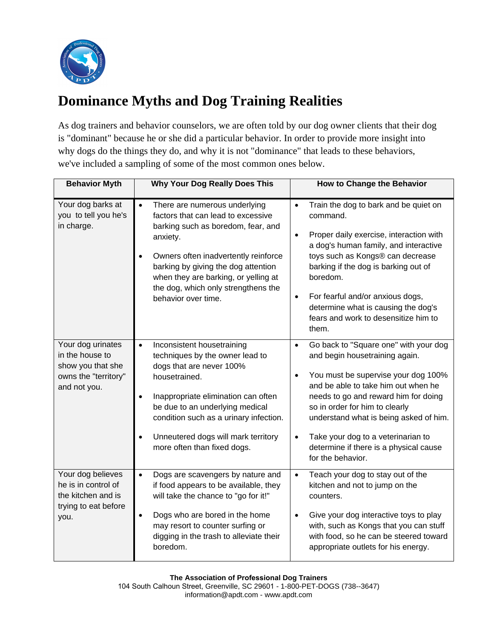

# **Dominance Myths and Dog Training Realities**

As dog trainers and behavior counselors, we are often told by our dog owner clients that their dog is "dominant" because he or she did a particular behavior. In order to provide more insight into why dogs do the things they do, and why it is not "dominance" that leads to these behaviors, we've included a sampling of some of the most common ones below.

| <b>Behavior Myth</b>                                                                              | <b>Why Your Dog Really Does This</b>                                                                                                                                                                                                                                                                                                        | How to Change the Behavior                                                                                                                                                                                                                                                                                                                                                                               |
|---------------------------------------------------------------------------------------------------|---------------------------------------------------------------------------------------------------------------------------------------------------------------------------------------------------------------------------------------------------------------------------------------------------------------------------------------------|----------------------------------------------------------------------------------------------------------------------------------------------------------------------------------------------------------------------------------------------------------------------------------------------------------------------------------------------------------------------------------------------------------|
| Your dog barks at<br>you to tell you he's<br>in charge.                                           | $\bullet$<br>There are numerous underlying<br>factors that can lead to excessive<br>barking such as boredom, fear, and<br>anxiety.<br>Owners often inadvertently reinforce<br>barking by giving the dog attention<br>when they are barking, or yelling at<br>the dog, which only strengthens the<br>behavior over time.                     | Train the dog to bark and be quiet on<br>$\bullet$<br>command.<br>Proper daily exercise, interaction with<br>$\bullet$<br>a dog's human family, and interactive<br>toys such as Kongs® can decrease<br>barking if the dog is barking out of<br>boredom.<br>For fearful and/or anxious dogs,<br>$\bullet$<br>determine what is causing the dog's<br>fears and work to desensitize him to<br>them.         |
| Your dog urinates<br>in the house to<br>show you that she<br>owns the "territory"<br>and not you. | $\bullet$<br>Inconsistent housetraining<br>techniques by the owner lead to<br>dogs that are never 100%<br>housetrained.<br>Inappropriate elimination can often<br>$\bullet$<br>be due to an underlying medical<br>condition such as a urinary infection.<br>Unneutered dogs will mark territory<br>$\bullet$<br>more often than fixed dogs. | Go back to "Square one" with your dog<br>$\bullet$<br>and begin housetraining again.<br>You must be supervise your dog 100%<br>$\bullet$<br>and be able to take him out when he<br>needs to go and reward him for doing<br>so in order for him to clearly<br>understand what is being asked of him.<br>Take your dog to a veterinarian to<br>determine if there is a physical cause<br>for the behavior. |
| Your dog believes<br>he is in control of<br>the kitchen and is<br>trying to eat before<br>you.    | Dogs are scavengers by nature and<br>$\bullet$<br>if food appears to be available, they<br>will take the chance to "go for it!"<br>Dogs who are bored in the home<br>$\bullet$<br>may resort to counter surfing or<br>digging in the trash to alleviate their<br>boredom.                                                                   | Teach your dog to stay out of the<br>$\bullet$<br>kitchen and not to jump on the<br>counters.<br>Give your dog interactive toys to play<br>$\bullet$<br>with, such as Kongs that you can stuff<br>with food, so he can be steered toward<br>appropriate outlets for his energy.                                                                                                                          |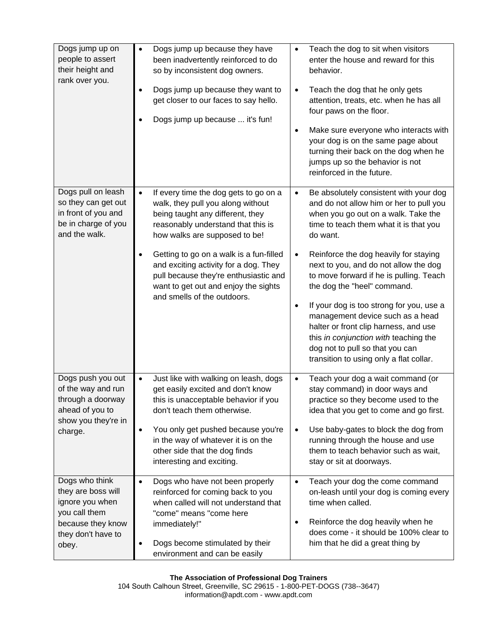| Dogs jump up on<br>people to assert<br>their height and<br>rank over you.                                                    | Dogs jump up because they have<br>been inadvertently reinforced to do<br>so by inconsistent dog owners.<br>Dogs jump up because they want to<br>get closer to our faces to say hello.<br>Dogs jump up because  it's fun!                                                                                               | Teach the dog to sit when visitors<br>$\bullet$<br>enter the house and reward for this<br>behavior.<br>Teach the dog that he only gets<br>$\bullet$<br>attention, treats, etc. when he has all<br>four paws on the floor.<br>Make sure everyone who interacts with<br>$\bullet$<br>your dog is on the same page about<br>turning their back on the dog when he<br>jumps up so the behavior is not<br>reinforced in the future.     |
|------------------------------------------------------------------------------------------------------------------------------|------------------------------------------------------------------------------------------------------------------------------------------------------------------------------------------------------------------------------------------------------------------------------------------------------------------------|------------------------------------------------------------------------------------------------------------------------------------------------------------------------------------------------------------------------------------------------------------------------------------------------------------------------------------------------------------------------------------------------------------------------------------|
| Dogs pull on leash<br>so they can get out<br>in front of you and<br>be in charge of you<br>and the walk.                     | If every time the dog gets to go on a<br>$\bullet$<br>walk, they pull you along without<br>being taught any different, they<br>reasonably understand that this is<br>how walks are supposed to be!                                                                                                                     | Be absolutely consistent with your dog<br>$\bullet$<br>and do not allow him or her to pull you<br>when you go out on a walk. Take the<br>time to teach them what it is that you<br>do want.                                                                                                                                                                                                                                        |
|                                                                                                                              | Getting to go on a walk is a fun-filled<br>and exciting activity for a dog. They<br>pull because they're enthusiastic and<br>want to get out and enjoy the sights<br>and smells of the outdoors.                                                                                                                       | Reinforce the dog heavily for staying<br>$\bullet$<br>next to you, and do not allow the dog<br>to move forward if he is pulling. Teach<br>the dog the "heel" command.<br>If your dog is too strong for you, use a<br>$\bullet$<br>management device such as a head<br>halter or front clip harness, and use<br>this in conjunction with teaching the<br>dog not to pull so that you can<br>transition to using only a flat collar. |
| Dogs push you out<br>of the way and run<br>through a doorway<br>ahead of you to<br>show you they're in<br>charge.            | Just like with walking on leash, dogs<br>$\bullet$<br>get easily excited and don't know<br>this is unacceptable behavior if you<br>don't teach them otherwise.<br>You only get pushed because you're<br>$\bullet$<br>in the way of whatever it is on the<br>other side that the dog finds<br>interesting and exciting. | Teach your dog a wait command (or<br>$\bullet$<br>stay command) in door ways and<br>practice so they become used to the<br>idea that you get to come and go first.<br>Use baby-gates to block the dog from<br>$\bullet$<br>running through the house and use<br>them to teach behavior such as wait,<br>stay or sit at doorways.                                                                                                   |
| Dogs who think<br>they are boss will<br>ignore you when<br>you call them<br>because they know<br>they don't have to<br>obey. | Dogs who have not been properly<br>$\bullet$<br>reinforced for coming back to you<br>when called will not understand that<br>"come" means "come here<br>immediately!"<br>Dogs become stimulated by their<br>environment and can be easily                                                                              | Teach your dog the come command<br>$\bullet$<br>on-leash until your dog is coming every<br>time when called.<br>Reinforce the dog heavily when he<br>$\bullet$<br>does come - it should be 100% clear to<br>him that he did a great thing by                                                                                                                                                                                       |